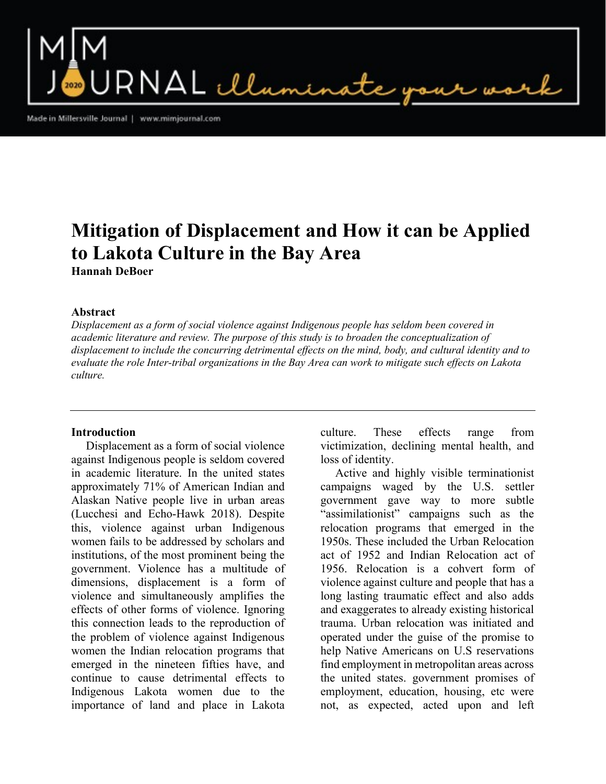$\mathsf{RNAL}\ \mathcal{L}\mathcal{L}_{\mathsf{unr}}$ 

Made in Millersville Journal | www.mimjournal.com

# Mitigation of Displacement and How it can be Applied to Lakota Culture in the Bay Area Hannah DeBoer

## Abstract

Displacement as a form of social violence against Indigenous people has seldom been covered in academic literature and review. The purpose of this study is to broaden the conceptualization of displacement to include the concurring detrimental effects on the mind, body, and cultural identity and to evaluate the role Inter-tribal organizations in the Bay Area can work to mitigate such effects on Lakota culture.

#### Introduction

 Displacement as a form of social violence against Indigenous people is seldom covered in academic literature. In the united states approximately 71% of American Indian and Alaskan Native people live in urban areas (Lucchesi and Echo-Hawk 2018). Despite this, violence against urban Indigenous women fails to be addressed by scholars and institutions, of the most prominent being the government. Violence has a multitude of dimensions, displacement is a form of violence and simultaneously amplifies the effects of other forms of violence. Ignoring this connection leads to the reproduction of the problem of violence against Indigenous women the Indian relocation programs that emerged in the nineteen fifties have, and continue to cause detrimental effects to Indigenous Lakota women due to the importance of land and place in Lakota

culture. These effects range from victimization, declining mental health, and loss of identity.

 Active and highly visible terminationist campaigns waged by the U.S. settler government gave way to more subtle "assimilationist" campaigns such as the relocation programs that emerged in the 1950s. These included the Urban Relocation act of 1952 and Indian Relocation act of 1956. Relocation is a cohvert form of violence against culture and people that has a long lasting traumatic effect and also adds and exaggerates to already existing historical trauma. Urban relocation was initiated and operated under the guise of the promise to help Native Americans on U.S reservations find employment in metropolitan areas across the united states. government promises of employment, education, housing, etc were not, as expected, acted upon and left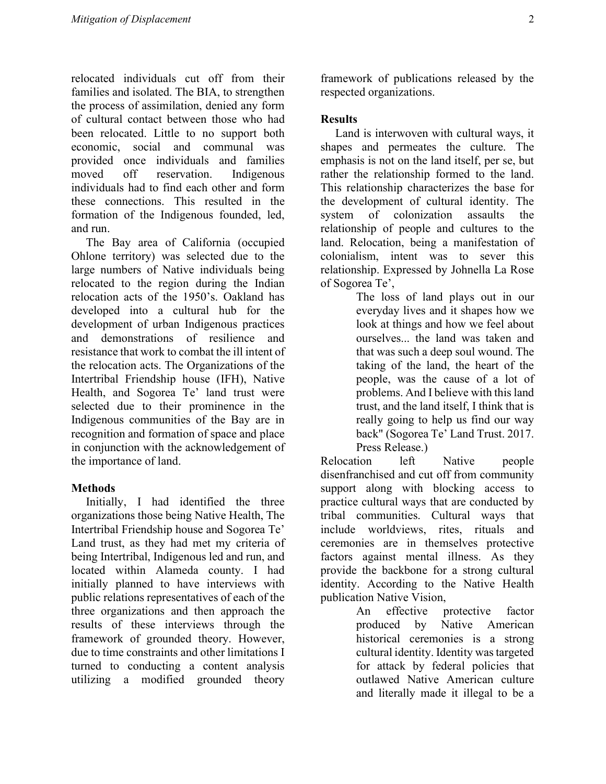relocated individuals cut off from their families and isolated. The BIA, to strengthen the process of assimilation, denied any form of cultural contact between those who had been relocated. Little to no support both economic, social and communal was provided once individuals and families moved off reservation. Indigenous individuals had to find each other and form these connections. This resulted in the formation of the Indigenous founded, led, and run.

 The Bay area of California (occupied Ohlone territory) was selected due to the large numbers of Native individuals being relocated to the region during the Indian relocation acts of the 1950's. Oakland has developed into a cultural hub for the development of urban Indigenous practices and demonstrations of resilience and resistance that work to combat the ill intent of the relocation acts. The Organizations of the Intertribal Friendship house (IFH), Native Health, and Sogorea Te' land trust were selected due to their prominence in the Indigenous communities of the Bay are in recognition and formation of space and place in conjunction with the acknowledgement of the importance of land.

# Methods

 Initially, I had identified the three organizations those being Native Health, The Intertribal Friendship house and Sogorea Te' Land trust, as they had met my criteria of being Intertribal, Indigenous led and run, and located within Alameda county. I had initially planned to have interviews with public relations representatives of each of the three organizations and then approach the results of these interviews through the framework of grounded theory. However, due to time constraints and other limitations I turned to conducting a content analysis utilizing a modified grounded theory

framework of publications released by the respected organizations.

## **Results**

 Land is interwoven with cultural ways, it shapes and permeates the culture. The emphasis is not on the land itself, per se, but rather the relationship formed to the land. This relationship characterizes the base for the development of cultural identity. The system of colonization assaults the relationship of people and cultures to the land. Relocation, being a manifestation of colonialism, intent was to sever this relationship. Expressed by Johnella La Rose of Sogorea Te',

The loss of land plays out in our everyday lives and it shapes how we look at things and how we feel about ourselves... the land was taken and that was such a deep soul wound. The taking of the land, the heart of the people, was the cause of a lot of problems. And I believe with this land trust, and the land itself, I think that is really going to help us find our way back" (Sogorea Te' Land Trust. 2017. Press Release.)

Relocation left Native people disenfranchised and cut off from community support along with blocking access to practice cultural ways that are conducted by tribal communities. Cultural ways that include worldviews, rites, rituals and ceremonies are in themselves protective factors against mental illness. As they provide the backbone for a strong cultural identity. According to the Native Health publication Native Vision,

> An effective protective factor produced by Native American historical ceremonies is a strong cultural identity. Identity was targeted for attack by federal policies that outlawed Native American culture and literally made it illegal to be a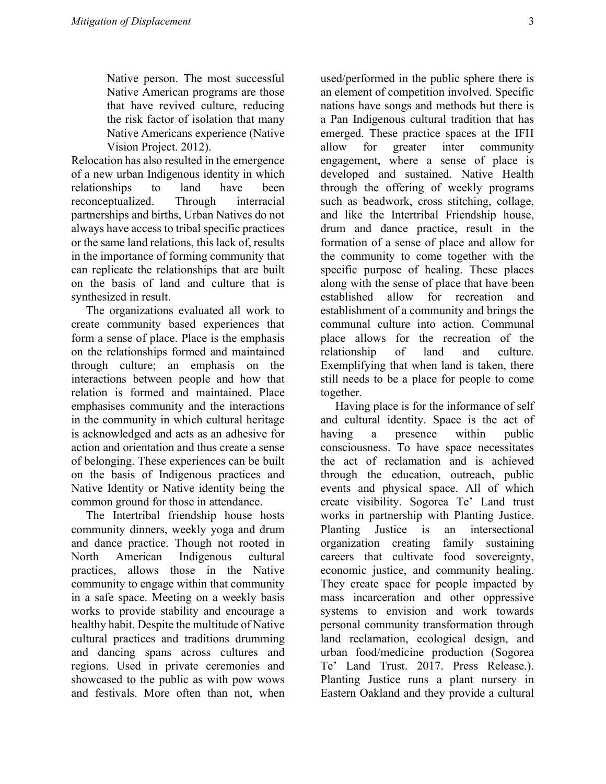Native person. The most successful Native American programs are those that have revived culture, reducing the risk factor of isolation that many Native Americans experience (Native Vision Project. 2012).

Relocation has also resulted in the emergence of a new urban Indigenous identity in which relationships to land have been reconceptualized. Through interracial partnerships and births, Urban Natives do not always have access to tribal specific practices or the same land relations, this lack of, results in the importance of forming community that can replicate the relationships that are built on the basis of land and culture that is synthesized in result.

 The organizations evaluated all work to create community based experiences that form a sense of place. Place is the emphasis on the relationships formed and maintained through culture; an emphasis on the interactions between people and how that relation is formed and maintained. Place emphasises community and the interactions in the community in which cultural heritage is acknowledged and acts as an adhesive for action and orientation and thus create a sense of belonging. These experiences can be built on the basis of Indigenous practices and Native Identity or Native identity being the common ground for those in attendance.

 The Intertribal friendship house hosts community dinners, weekly yoga and drum and dance practice. Though not rooted in North American Indigenous cultural practices, allows those in the Native community to engage within that community in a safe space. Meeting on a weekly basis works to provide stability and encourage a healthy habit. Despite the multitude of Native cultural practices and traditions drumming and dancing spans across cultures and regions. Used in private ceremonies and showcased to the public as with pow wows and festivals. More often than not, when

used/performed in the public sphere there is an element of competition involved. Specific nations have songs and methods but there is a Pan Indigenous cultural tradition that has emerged. These practice spaces at the IFH allow for greater inter community engagement, where a sense of place is developed and sustained. Native Health through the offering of weekly programs such as beadwork, cross stitching, collage, and like the Intertribal Friendship house, drum and dance practice, result in the formation of a sense of place and allow for the community to come together with the specific purpose of healing. These places along with the sense of place that have been established allow for recreation and establishment of a community and brings the communal culture into action. Communal place allows for the recreation of the relationship of land and culture. Exemplifying that when land is taken, there still needs to be a place for people to come together.

 Having place is for the informance of self and cultural identity. Space is the act of having a presence within public consciousness. To have space necessitates the act of reclamation and is achieved through the education, outreach, public events and physical space. All of which create visibility. Sogorea Te' Land trust works in partnership with Planting Justice. Planting Justice is an intersectional organization creating family sustaining careers that cultivate food sovereignty, economic justice, and community healing. They create space for people impacted by mass incarceration and other oppressive systems to envision and work towards personal community transformation through land reclamation, ecological design, and urban food/medicine production (Sogorea Te' Land Trust. 2017. Press Release.). Planting Justice runs a plant nursery in Eastern Oakland and they provide a cultural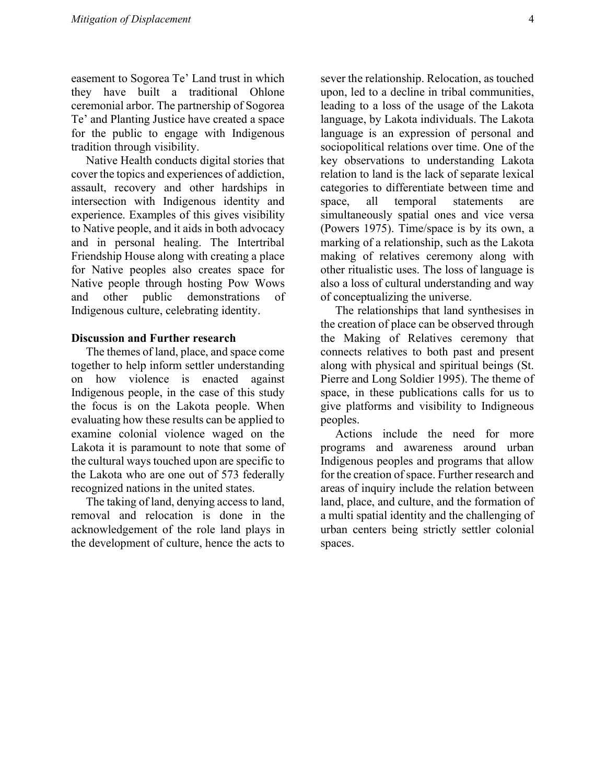easement to Sogorea Te' Land trust in which they have built a traditional Ohlone ceremonial arbor. The partnership of Sogorea Te' and Planting Justice have created a space for the public to engage with Indigenous tradition through visibility.

 Native Health conducts digital stories that cover the topics and experiences of addiction, assault, recovery and other hardships in intersection with Indigenous identity and experience. Examples of this gives visibility to Native people, and it aids in both advocacy and in personal healing. The Intertribal Friendship House along with creating a place for Native peoples also creates space for Native people through hosting Pow Wows and other public demonstrations of Indigenous culture, celebrating identity.

## Discussion and Further research

 The themes of land, place, and space come together to help inform settler understanding on how violence is enacted against Indigenous people, in the case of this study the focus is on the Lakota people. When evaluating how these results can be applied to examine colonial violence waged on the Lakota it is paramount to note that some of the cultural ways touched upon are specific to the Lakota who are one out of 573 federally recognized nations in the united states.

 The taking of land, denying access to land, removal and relocation is done in the acknowledgement of the role land plays in the development of culture, hence the acts to sever the relationship. Relocation, as touched upon, led to a decline in tribal communities, leading to a loss of the usage of the Lakota language, by Lakota individuals. The Lakota language is an expression of personal and sociopolitical relations over time. One of the key observations to understanding Lakota relation to land is the lack of separate lexical categories to differentiate between time and space, all temporal statements are simultaneously spatial ones and vice versa (Powers 1975). Time/space is by its own, a marking of a relationship, such as the Lakota making of relatives ceremony along with other ritualistic uses. The loss of language is also a loss of cultural understanding and way of conceptualizing the universe.

 The relationships that land synthesises in the creation of place can be observed through the Making of Relatives ceremony that connects relatives to both past and present along with physical and spiritual beings (St. Pierre and Long Soldier 1995). The theme of space, in these publications calls for us to give platforms and visibility to Indigneous peoples.

 Actions include the need for more programs and awareness around urban Indigenous peoples and programs that allow for the creation of space. Further research and areas of inquiry include the relation between land, place, and culture, and the formation of a multi spatial identity and the challenging of urban centers being strictly settler colonial spaces.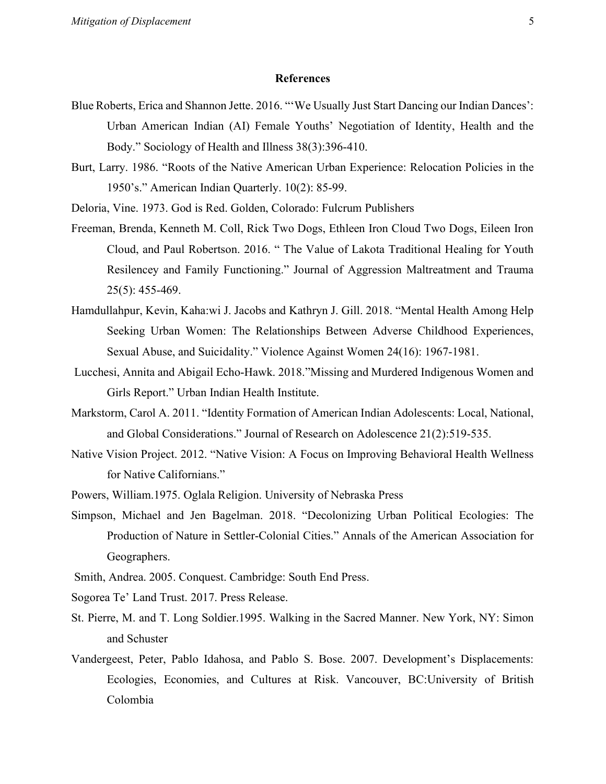### References

- Blue Roberts, Erica and Shannon Jette. 2016. "'We Usually Just Start Dancing our Indian Dances': Urban American Indian (AI) Female Youths' Negotiation of Identity, Health and the Body." Sociology of Health and Illness 38(3):396-410.
- Burt, Larry. 1986. "Roots of the Native American Urban Experience: Relocation Policies in the 1950's." American Indian Quarterly. 10(2): 85-99.
- Deloria, Vine. 1973. God is Red. Golden, Colorado: Fulcrum Publishers
- Freeman, Brenda, Kenneth M. Coll, Rick Two Dogs, Ethleen Iron Cloud Two Dogs, Eileen Iron Cloud, and Paul Robertson. 2016. " The Value of Lakota Traditional Healing for Youth Resilencey and Family Functioning." Journal of Aggression Maltreatment and Trauma 25(5): 455-469.
- Hamdullahpur, Kevin, Kaha:wi J. Jacobs and Kathryn J. Gill. 2018. "Mental Health Among Help Seeking Urban Women: The Relationships Between Adverse Childhood Experiences, Sexual Abuse, and Suicidality." Violence Against Women 24(16): 1967-1981.
- Lucchesi, Annita and Abigail Echo-Hawk. 2018."Missing and Murdered Indigenous Women and Girls Report." Urban Indian Health Institute.
- Markstorm, Carol A. 2011. "Identity Formation of American Indian Adolescents: Local, National, and Global Considerations." Journal of Research on Adolescence 21(2):519-535.
- Native Vision Project. 2012. "Native Vision: A Focus on Improving Behavioral Health Wellness for Native Californians."
- Powers, William.1975. Oglala Religion. University of Nebraska Press
- Simpson, Michael and Jen Bagelman. 2018. "Decolonizing Urban Political Ecologies: The Production of Nature in Settler-Colonial Cities." Annals of the American Association for Geographers.
- Smith, Andrea. 2005. Conquest. Cambridge: South End Press.
- Sogorea Te' Land Trust. 2017. Press Release.
- St. Pierre, M. and T. Long Soldier.1995. Walking in the Sacred Manner. New York, NY: Simon and Schuster
- Vandergeest, Peter, Pablo Idahosa, and Pablo S. Bose. 2007. Development's Displacements: Ecologies, Economies, and Cultures at Risk. Vancouver, BC:University of British Colombia